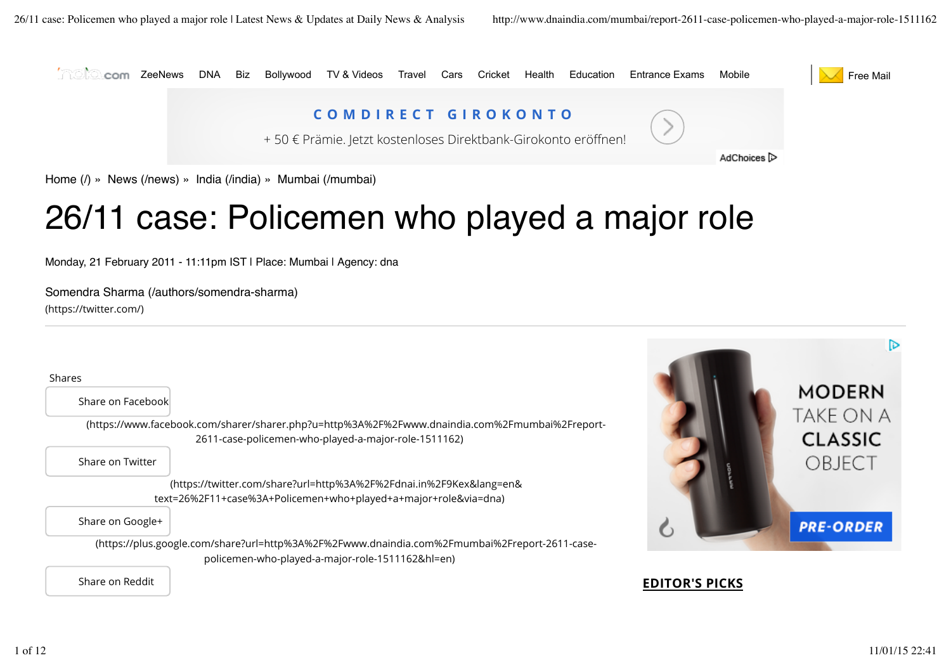

# 26/11 case: Policemen who played a major role

Monday, 21 February 2011 - 11:11pm IST | Place: Mumbai | Agency: dna

(https://twitter.com/) Somendra Sharma (/authors/somendra-sharma)

| Shares            |                                                                                                                                                        |                       | ΙD                         |
|-------------------|--------------------------------------------------------------------------------------------------------------------------------------------------------|-----------------------|----------------------------|
| Share on Facebook |                                                                                                                                                        |                       | <b>MODERN</b><br>TAKE ON A |
|                   | (https://www.facebook.com/sharer/sharer.php?u=http%3A%2F%2Fwww.dnaindia.com%2Fmumbai%2Freport-<br>2611-case-policemen-who-played-a-major-role-1511162) |                       | <b>CLASSIC</b>             |
| Share on Twitter  |                                                                                                                                                        |                       | OBJECT                     |
|                   | (https://twitter.com/share?url=http%3A%2F%2Fdnai.in%2F9Kex⟨=en&<br>text=26%2F11+case%3A+Policemen+who+played+a+major+role&via=dna)                     |                       |                            |
| Share on Google+  |                                                                                                                                                        |                       | <b>PRE-ORDER</b>           |
|                   | (https://plus.google.com/share?url=http%3A%2F%2Fwww.dnaindia.com%2Fmumbai%2Freport-2611-case-<br>policemen-who-played-a-major-role-1511162&hl=en)      |                       |                            |
| Share on Reddit   |                                                                                                                                                        | <b>EDITOR'S PICKS</b> |                            |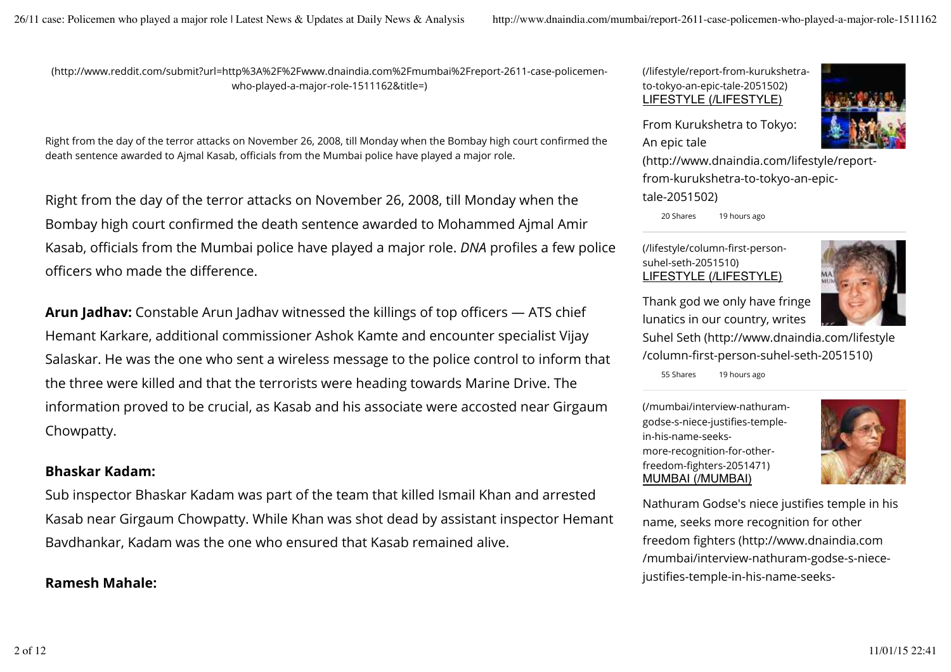(http://www.reddit.com/submit?url=http%3A%2F%2Fwww.dnaindia.com%2Fmumbai%2Freport-2611-case-policemenwho-played-a-major-role-1511162&title=)

Right from the day of the terror attacks on November 26, 2008, till Monday when the Bombay high court confirmed the death sentence awarded to Ajmal Kasab, officials from the Mumbai police have played a major role.

Right from the day of the terror attacks on November 26, 2008, till Monday when the Bombay high court confirmed the death sentence awarded to Mohammed Ajmal Amir Kasab, officials from the Mumbai police have played a major role. *DNA* profiles a few police officers who made the difference.

Arun Jadhav: Constable Arun Jadhav witnessed the killings of top officers - ATS chief Hemant Karkare, additional commissioner Ashok Kamte and encounter specialist Vijay Salaskar. He was the one who sent a wireless message to the police control to inform that the three were killed and that the terrorists were heading towards Marine Drive. The information proved to be crucial, as Kasab and his associate were accosted near Girgaum Chowpatty.

## Bhaskar Kadam:

Sub inspector Bhaskar Kadam was part of the team that killed Ismail Khan and arrested Kasab near Girgaum Chowpatty. While Khan was shot dead by assistant inspector Hemant Bavdhankar, Kadam was the one who ensured that Kasab remained alive.

#### Ramesh Mahale:

(/lifestyle/report-from-kurukshetrato-tokyo-an-epic-tale-2051502) LIFESTYLE (/LIFESTYLE)



From Kurukshetra to Tokyo: An epic tale

(http://www.dnaindia.com/lifestyle/reportfrom-kurukshetra-to-tokyo-an-epictale-2051502)

20 Shares 19 hours ago

#### (/lifestyle/column-first-personsuhel-seth-2051510) LIFESTYLE (/LIFESTYLE)



Thank god we only have fringe lunatics in our country, writes

Suhel Seth (http://www.dnaindia.com/lifestyle /column-first-person-suhel-seth-2051510)

55 Shares 19 hours ago

(/mumbai/interview-nathuramgodse-s-niece-justifies-templein-his-name-seeksmore-recognition-for-otherfreedom-fighters-2051471) MUMBAI (/MUMBAI)



Nathuram Godse's niece justifies temple in his name, seeks more recognition for other freedom fighters (http://www.dnaindia.com /mumbai/interview-nathuram-godse-s-niecejustifies-temple-in-his-name-seeks-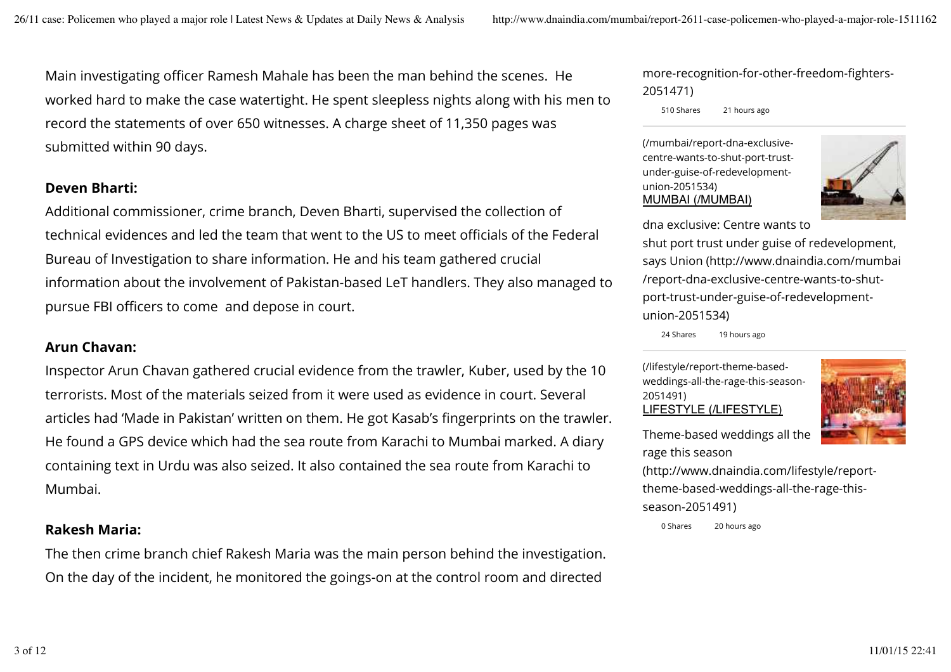Main investigating officer Ramesh Mahale has been the man behind the scenes. He worked hard to make the case watertight. He spent sleepless nights along with his men to record the statements of over 650 witnesses. A charge sheet of 11,350 pages was submitted within 90 days.

#### Deven Bharti:

Additional commissioner, crime branch, Deven Bharti, supervised the collection of technical evidences and led the team that went to the US to meet officials of the Federal Bureau of Investigation to share information. He and his team gathered crucial information about the involvement of Pakistan-based LeT handlers. They also managed to pursue FBI officers to come and depose in court.

## Arun Chavan:

Inspector Arun Chavan gathered crucial evidence from the trawler, Kuber, used by the 10 terrorists. Most of the materials seized from it were used as evidence in court. Several articles had 'Made in Pakistan' written on them. He got Kasab's fingerprints on the trawler. He found a GPS device which had the sea route from Karachi to Mumbai marked. A diary containing text in Urdu was also seized. It also contained the sea route from Karachi to Mumbai.

## Rakesh Maria:

The then crime branch chief Rakesh Maria was the main person behind the investigation. On the day of the incident, he monitored the goings-on at the control room and directed

more-recognition-for-other-freedom-fighters-2051471)

510 Shares 21 hours ago

(/mumbai/report-dna-exclusivecentre-wants-to-shut-port-trustunder-guise-of-redevelopmentunion-2051534) MUMBAI (/MUMBAI)



dna exclusive: Centre wants to

shut port trust under guise of redevelopment, says Union (http://www.dnaindia.com/mumbai /report-dna-exclusive-centre-wants-to-shutport-trust-under-guise-of-redevelopmentunion-2051534)

24 Shares 19 hours ago

(/lifestyle/report-theme-basedweddings-all-the-rage-this-season-2051491) LIFESTYLE (/LIFESTYLE)



Theme-based weddings all the rage this season

(http://www.dnaindia.com/lifestyle/reporttheme-based-weddings-all-the-rage-thisseason-2051491)

0 Shares 20 hours ago